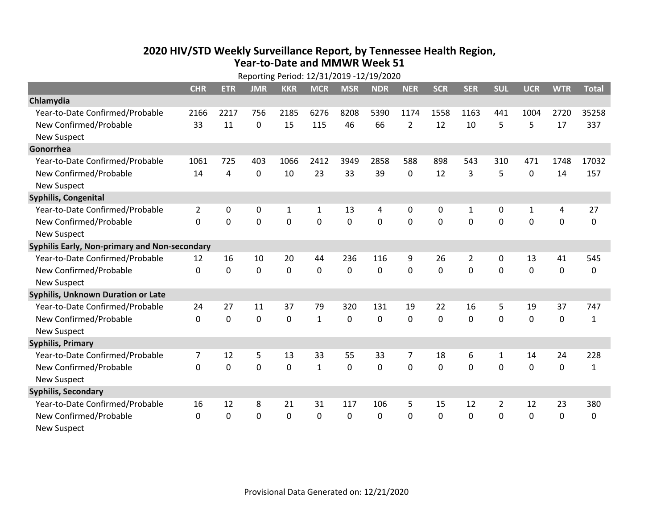## **2020 HIV /STD Weekly Surveillance Report, by Tennessee Health Region, Year‐to‐Date and MMWR Week 51** Reporting Period: 12/31/2019 ‐12/19/2020

|                                               | Reporting Period: 12/31/2019 -12/19/2020 |                |                |              |              |             |                |                |              |                |                |                |             |              |
|-----------------------------------------------|------------------------------------------|----------------|----------------|--------------|--------------|-------------|----------------|----------------|--------------|----------------|----------------|----------------|-------------|--------------|
|                                               | <b>CHR</b>                               | <b>ETR</b>     | <b>JMR</b>     | <b>KKR</b>   | <b>MCR</b>   | <b>MSR</b>  | <b>NDR</b>     | <b>NER</b>     | <b>SCR</b>   | <b>SER</b>     | <b>SUL</b>     | <b>UCR</b>     | <b>WTR</b>  | <b>Total</b> |
| Chlamydia                                     |                                          |                |                |              |              |             |                |                |              |                |                |                |             |              |
| Year-to-Date Confirmed/Probable               | 2166                                     | 2217           | 756            | 2185         | 6276         | 8208        | 5390           | 1174           | 1558         | 1163           | 441            | 1004           | 2720        | 35258        |
| New Confirmed/Probable                        | 33                                       | 11             | 0              | 15           | 115          | 46          | 66             | $\overline{2}$ | 12           | 10             | 5              | 5              | 17          | 337          |
| <b>New Suspect</b>                            |                                          |                |                |              |              |             |                |                |              |                |                |                |             |              |
| Gonorrhea                                     |                                          |                |                |              |              |             |                |                |              |                |                |                |             |              |
| Year-to-Date Confirmed/Probable               | 1061                                     | 725            | 403            | 1066         | 2412         | 3949        | 2858           | 588            | 898          | 543            | 310            | 471            | 1748        | 17032        |
| New Confirmed/Probable                        | 14                                       | 4              | $\mathbf 0$    | 10           | 23           | 33          | 39             | 0              | 12           | 3              | 5              | $\mathbf 0$    | 14          | 157          |
| <b>New Suspect</b>                            |                                          |                |                |              |              |             |                |                |              |                |                |                |             |              |
| <b>Syphilis, Congenital</b>                   |                                          |                |                |              |              |             |                |                |              |                |                |                |             |              |
| Year-to-Date Confirmed/Probable               | $\overline{2}$                           | 0              | 0              | $\mathbf{1}$ | 1            | 13          | 4              | 0              | 0            | 1              | 0              | $\mathbf{1}$   | 4           | 27           |
| New Confirmed/Probable                        | $\Omega$                                 | $\overline{0}$ | $\overline{0}$ | 0            | $\mathbf 0$  | $\mathbf 0$ | $\overline{0}$ | $\Omega$       | $\Omega$     | $\mathbf 0$    | $\mathbf 0$    | $\overline{0}$ | $\mathbf 0$ | 0            |
| <b>New Suspect</b>                            |                                          |                |                |              |              |             |                |                |              |                |                |                |             |              |
| Syphilis Early, Non-primary and Non-secondary |                                          |                |                |              |              |             |                |                |              |                |                |                |             |              |
| Year-to-Date Confirmed/Probable               | 12                                       | 16             | 10             | 20           | 44           | 236         | 116            | 9              | 26           | $\overline{2}$ | 0              | 13             | 41          | 545          |
| New Confirmed/Probable                        | $\Omega$                                 | $\mathbf 0$    | $\mathbf 0$    | 0            | $\mathbf 0$  | 0           | $\Omega$       | $\Omega$       | $\Omega$     | 0              | $\mathbf 0$    | $\mathbf 0$    | $\mathbf 0$ | 0            |
| <b>New Suspect</b>                            |                                          |                |                |              |              |             |                |                |              |                |                |                |             |              |
| Syphilis, Unknown Duration or Late            |                                          |                |                |              |              |             |                |                |              |                |                |                |             |              |
| Year-to-Date Confirmed/Probable               | 24                                       | 27             | 11             | 37           | 79           | 320         | 131            | 19             | 22           | 16             | 5              | 19             | 37          | 747          |
| New Confirmed/Probable                        | 0                                        | $\mathbf 0$    | $\mathbf 0$    | 0            | $\mathbf{1}$ | 0           | 0              | 0              | 0            | $\mathbf 0$    | $\mathbf 0$    | 0              | $\mathbf 0$ | $\mathbf{1}$ |
| <b>New Suspect</b>                            |                                          |                |                |              |              |             |                |                |              |                |                |                |             |              |
| <b>Syphilis, Primary</b>                      |                                          |                |                |              |              |             |                |                |              |                |                |                |             |              |
| Year-to-Date Confirmed/Probable               | $\overline{7}$                           | 12             | 5              | 13           | 33           | 55          | 33             | $\overline{7}$ | 18           | 6              | 1              | 14             | 24          | 228          |
| New Confirmed/Probable                        | 0                                        | $\mathbf 0$    | 0              | 0            | $\mathbf{1}$ | 0           | $\mathbf 0$    | $\mathbf{0}$   | 0            | 0              | 0              | 0              | $\mathbf 0$ | $\mathbf{1}$ |
| <b>New Suspect</b>                            |                                          |                |                |              |              |             |                |                |              |                |                |                |             |              |
| <b>Syphilis, Secondary</b>                    |                                          |                |                |              |              |             |                |                |              |                |                |                |             |              |
| Year-to-Date Confirmed/Probable               | 16                                       | 12             | 8              | 21           | 31           | 117         | 106            | 5              | 15           | 12             | $\overline{2}$ | 12             | 23          | 380          |
| New Confirmed/Probable                        | $\Omega$                                 | $\Omega$       | 0              | $\Omega$     | $\mathbf{0}$ | $\Omega$    | 0              | $\Omega$       | $\mathbf{0}$ | $\Omega$       | $\mathbf{0}$   | 0              | 0           | 0            |
| <b>New Suspect</b>                            |                                          |                |                |              |              |             |                |                |              |                |                |                |             |              |